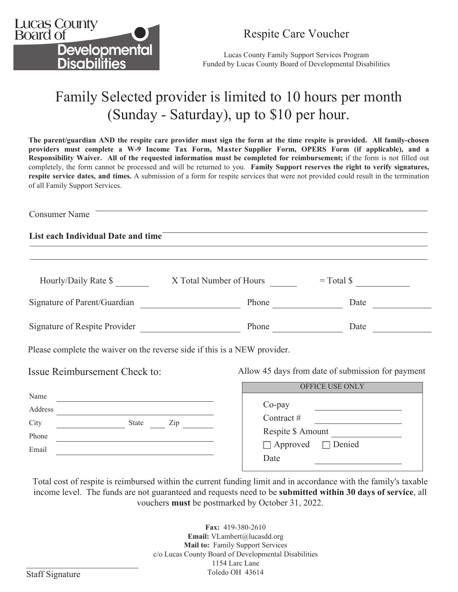

## Respite Care Voucher

Lucas County Family Support Services Program Funded by Lucas County Board of Developmental Disabilities

## Family Selected provider is limited to 10 hours per month (Sunday - Saturday), up to \$10 per hour.

**The parent/guardian AND the respite care provider must sign the form at the time respite is provided. All family-chosen providers must complete a W-9 Income Tax Form, Master Supplier Form, OPERS Form (if applicable), and a Responsibility Waiver. All of the requested information must be completed for reimbursement;** if the form is not filled out completely, the form cannot be processed and will be returned to you. **Family Support reserves the right to verify signatures, respite service dates, and times.** A submission of a form for respite services that were not provided could result in the termination of all Family Support Services.

Consumer Name **List each Individual Date and time** Hourly/Daily Rate  $\$$  X Total Number of Hours = Total  $\$$ Signature of Parent/Guardian Phone Date Signature of Respite Provider Phone Date Please complete the waiver on the reverse side if this is a NEW provider. Name Address City State Zip Phone Issue Reimbursement Check to: Allow 45 days from date of submission for payment Contract # Respite \$ Amount OFFICE USE ONLY Co-pay

| State<br>Zip | Co-pay<br>Contract #<br>Respite \$ Amount<br>$\Box$ Approved $\Box$ Denied<br>Date |
|--------------|------------------------------------------------------------------------------------|
|              |                                                                                    |

Total cost of respite is reimbursed within the current funding limit and in accordance with the family's taxable income level. The funds are not guaranteed and requests need to be **submitted within 30 days of service**, all vouchers **must** be postmarked by October 31, 2022.

> **Fax:** 419-380-2610 **Email:** VLambert@lucasdd.org **Mail to:** Family Support Services c/o Lucas County Board of Developmental Disabilities 1154 Larc Lane Toledo OH 43614

Email